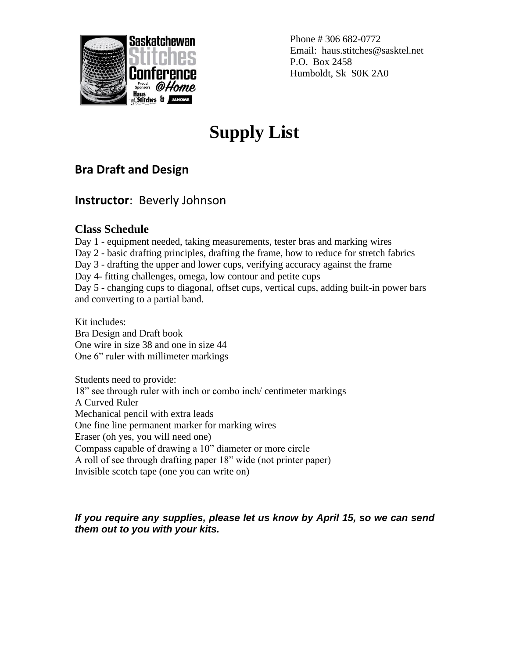

Phone # 306 682-0772 Email: haus.stitches@sasktel.net P.O. Box 2458 Humboldt, Sk S0K 2A0

# **Supply List**

## **Bra Draft and Design**

### **Instructor**: Beverly Johnson

#### **Class Schedule**

Day 1 - equipment needed, taking measurements, tester bras and marking wires Day 2 - basic drafting principles, drafting the frame, how to reduce for stretch fabrics Day 3 - drafting the upper and lower cups, verifying accuracy against the frame Day 4- fitting challenges, omega, low contour and petite cups Day 5 - changing cups to diagonal, offset cups, vertical cups, adding built-in power bars and converting to a partial band.

Kit includes: Bra Design and Draft book One wire in size 38 and one in size 44 One 6" ruler with millimeter markings

Students need to provide: 18" see through ruler with inch or combo inch/ centimeter markings A Curved Ruler Mechanical pencil with extra leads One fine line permanent marker for marking wires Eraser (oh yes, you will need one) Compass capable of drawing a 10" diameter or more circle A roll of see through drafting paper 18" wide (not printer paper) Invisible scotch tape (one you can write on)

#### *If you require any supplies, please let us know by April 15, so we can send them out to you with your kits.*